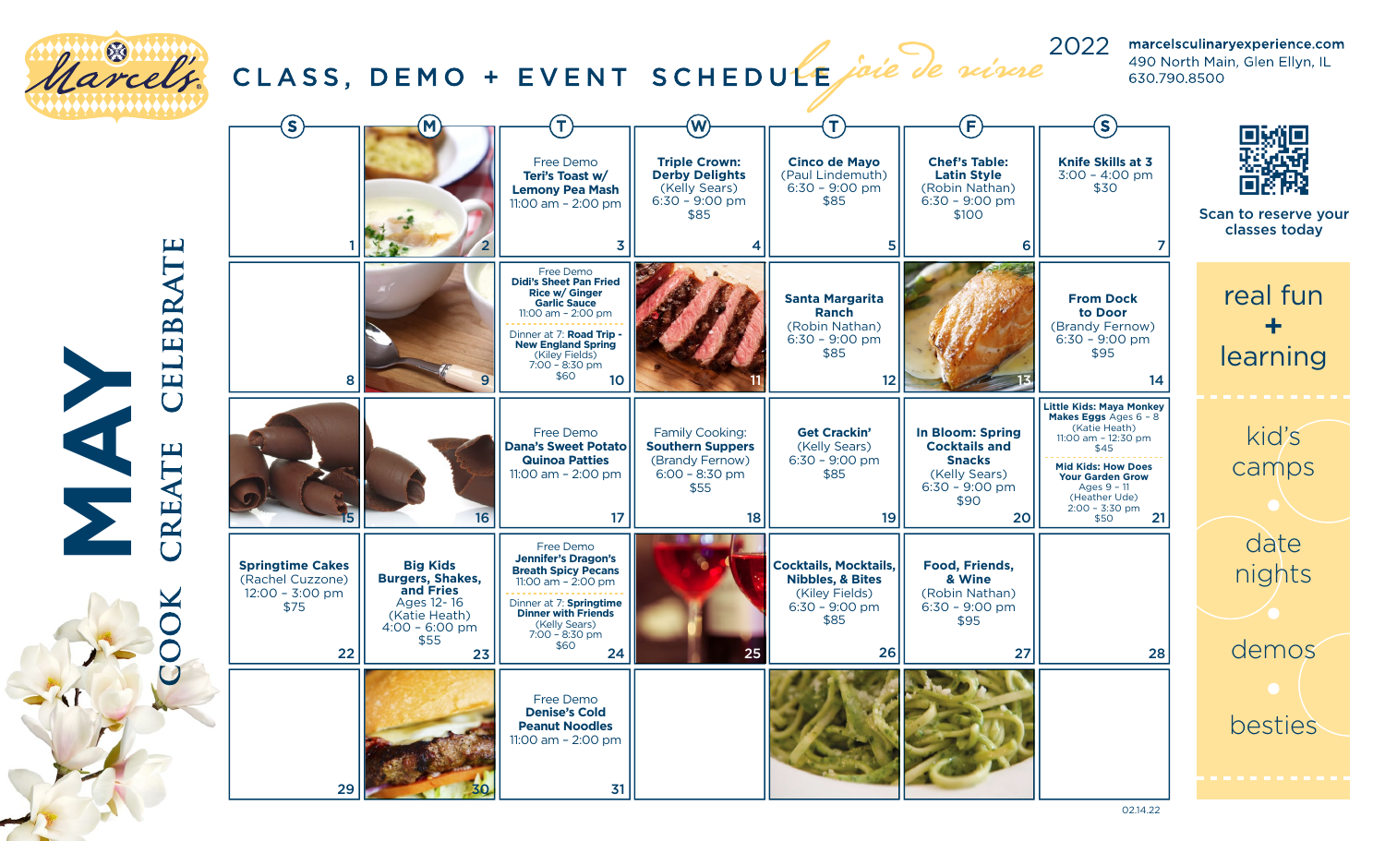

02.14.22